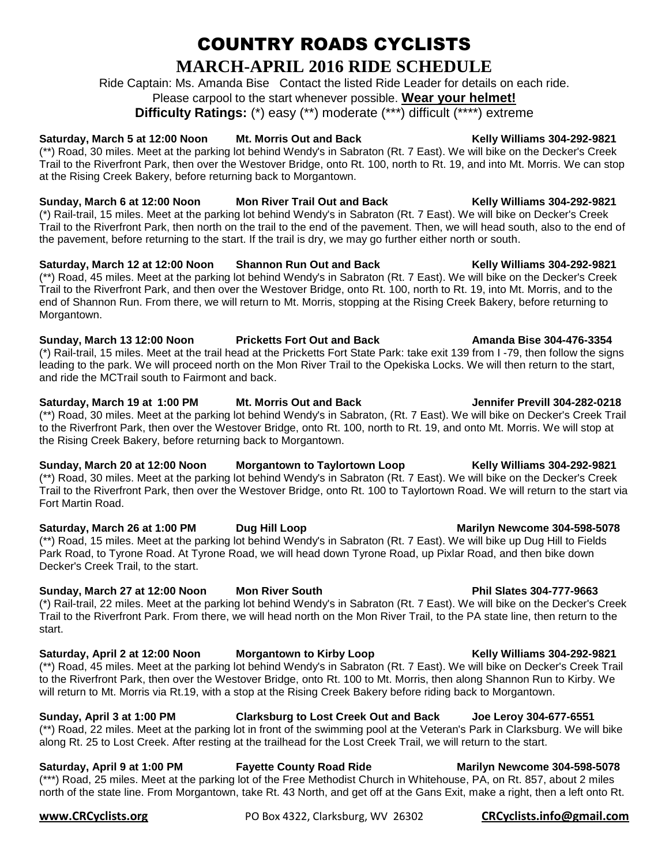# COUNTRY ROADS CYCLISTS **MARCH-APRIL 2016 RIDE SCHEDULE**

Ride Captain: Ms. Amanda Bise Contact the listed Ride Leader for details on each ride. Please carpool to the start whenever possible. **Wear your helmet!**

**Difficulty Ratings:** (\*) easy (\*\*) moderate (\*\*\*) difficult (\*\*\*\*) extreme

# Saturday, March 5 at 12:00 Noon Mt. Morris Out and Back Kelly Williams 304-292-9821

(\*\*) Road, 30 miles. Meet at the parking lot behind Wendy's in Sabraton (Rt. 7 East). We will bike on the Decker's Creek Trail to the Riverfront Park, then over the Westover Bridge, onto Rt. 100, north to Rt. 19, and into Mt. Morris. We can stop at the Rising Creek Bakery, before returning back to Morgantown.

# **Sunday, March 6 at 12:00 Noon Mon River Trail Out and Back Kelly Williams 304-292-9821**

(\*) Rail-trail, 15 miles. Meet at the parking lot behind Wendy's in Sabraton (Rt. 7 East). We will bike on Decker's Creek Trail to the Riverfront Park, then north on the trail to the end of the pavement. Then, we will head south, also to the end of the pavement, before returning to the start. If the trail is dry, we may go further either north or south.

# Saturday, March 12 at 12:00 Noon Shannon Run Out and Back Kelly Williams 304-292-9821

(\*\*) Road, 45 miles. Meet at the parking lot behind Wendy's in Sabraton (Rt. 7 East). We will bike on the Decker's Creek Trail to the Riverfront Park, and then over the Westover Bridge, onto Rt. 100, north to Rt. 19, into Mt. Morris, and to the end of Shannon Run. From there, we will return to Mt. Morris, stopping at the Rising Creek Bakery, before returning to Morgantown.

### **Sunday, March 13 12:00 Noon Pricketts Fort Out and Back Amanda Bise 304-476-3354**

(\*) Rail-trail, 15 miles. Meet at the trail head at the Pricketts Fort State Park: take exit 139 from I -79, then follow the signs leading to the park. We will proceed north on the Mon River Trail to the Opekiska Locks. We will then return to the start, and ride the MCTrail south to Fairmont and back.

### Saturday, March 19 at 1:00 PM Mt. Morris Out and Back Jennifer Previll 304-282-0218 (\*\*) Road, 30 miles. Meet at the parking lot behind Wendy's in Sabraton, (Rt. 7 East). We will bike on Decker's Creek Trail to the Riverfront Park, then over the Westover Bridge, onto Rt. 100, north to Rt. 19, and onto Mt. Morris. We will stop at the Rising Creek Bakery, before returning back to Morgantown.

# **Sunday, March 20 at 12:00 Noon Morgantown to Taylortown Loop Kelly Williams 304-292-9821**

(\*\*) Road, 30 miles. Meet at the parking lot behind Wendy's in Sabraton (Rt. 7 East). We will bike on the Decker's Creek Trail to the Riverfront Park, then over the Westover Bridge, onto Rt. 100 to Taylortown Road. We will return to the start via Fort Martin Road.

## Saturday, March 26 at 1:00 PM **Dug Hill Loop Marilyn Newcome 304-598-5078**

(\*\*) Road, 15 miles. Meet at the parking lot behind Wendy's in Sabraton (Rt. 7 East). We will bike up Dug Hill to Fields Park Road, to Tyrone Road. At Tyrone Road, we will head down Tyrone Road, up Pixlar Road, and then bike down Decker's Creek Trail, to the start.

# **Sunday, March 27 at 12:00 Noon Mon River South Phil Slates 304-777-9663**

(\*) Rail-trail, 22 miles. Meet at the parking lot behind Wendy's in Sabraton (Rt. 7 East). We will bike on the Decker's Creek Trail to the Riverfront Park. From there, we will head north on the Mon River Trail, to the PA state line, then return to the start.

Saturday, April 2 at 12:00 Noon Morgantown to Kirby Loop Kelly Williams 304-292-9821 (\*\*) Road, 45 miles. Meet at the parking lot behind Wendy's in Sabraton (Rt. 7 East). We will bike on Decker's Creek Trail to the Riverfront Park, then over the Westover Bridge, onto Rt. 100 to Mt. Morris, then along Shannon Run to Kirby. We will return to Mt. Morris via Rt.19, with a stop at the Rising Creek Bakery before riding back to Morgantown.

# **Sunday, April 3 at 1:00 PM Clarksburg to Lost Creek Out and Back Joe Leroy 304-677-6551**

(\*\*) Road, 22 miles. Meet at the parking lot in front of the swimming pool at the Veteran's Park in Clarksburg. We will bike along Rt. 25 to Lost Creek. After resting at the trailhead for the Lost Creek Trail, we will return to the start.

**Saturday, April 9 at 1:00 PM Fayette County Road Ride Marilyn Newcome 304-598-5078** (\*\*\*) Road, 25 miles. Meet at the parking lot of the Free Methodist Church in Whitehouse, PA, on Rt. 857, about 2 miles north of the state line. From Morgantown, take Rt. 43 North, and get off at the Gans Exit, make a right, then a left onto Rt.

**[www.CRCyclists.org](../../www.CRCyclists.org)** PO Box 4322, Clarksburg, WV 26302 **[CRCyclists.info@gmail.com](mailto:CRCyclists.info@gmail.com)**